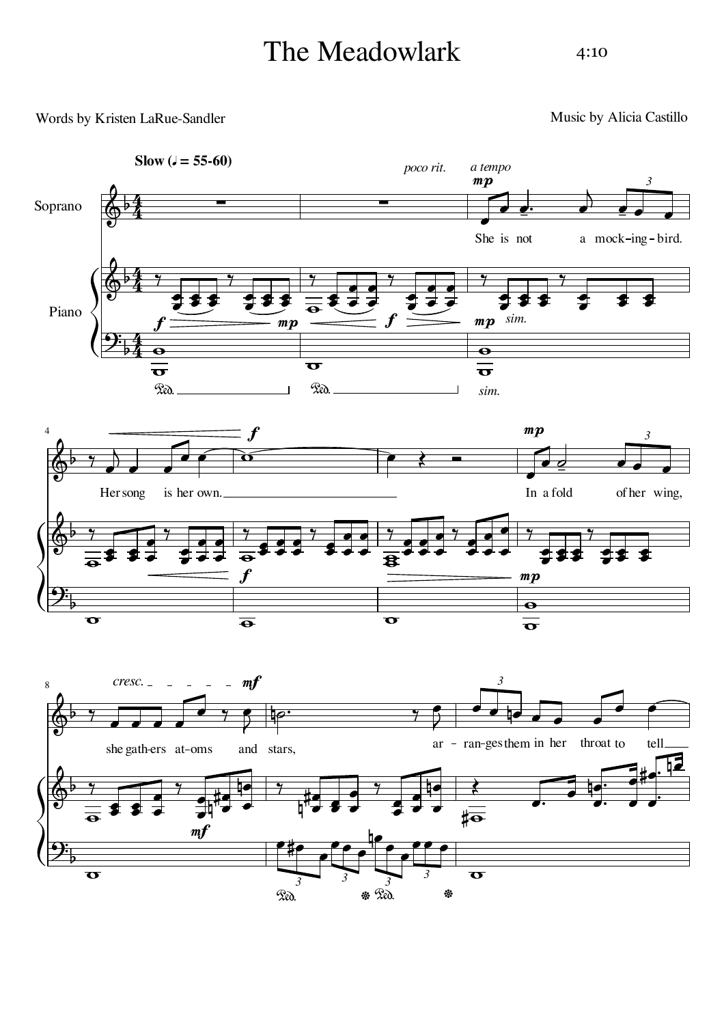## The Meadowlark

## 4:10

## Words by Kristen LaRue-Sandler

Music by Alicia Castillo

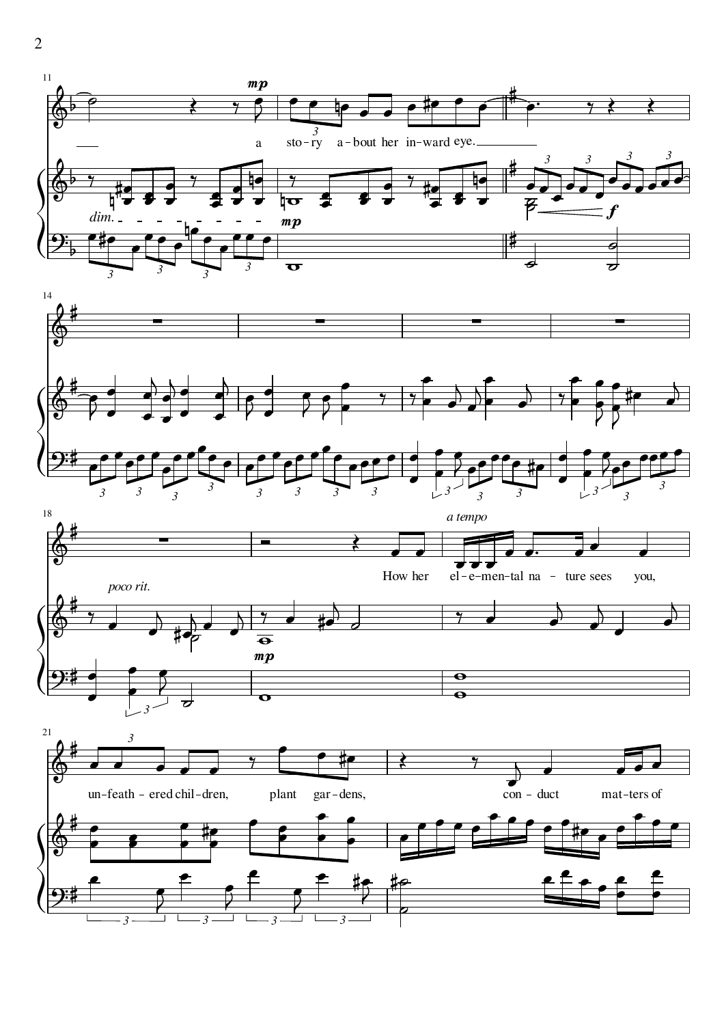







2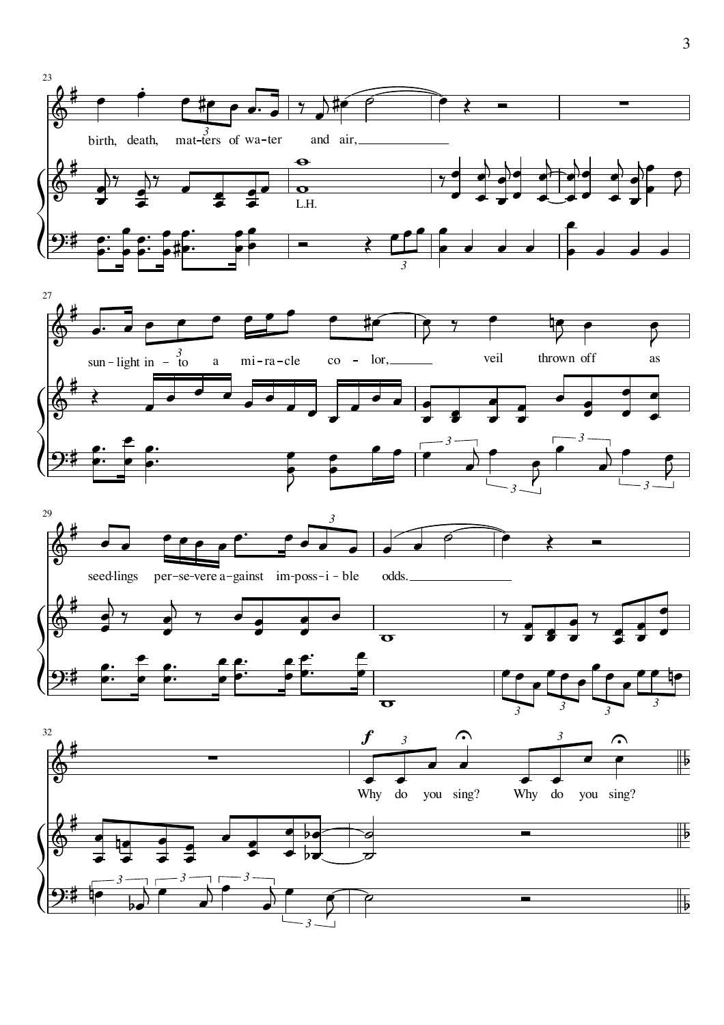